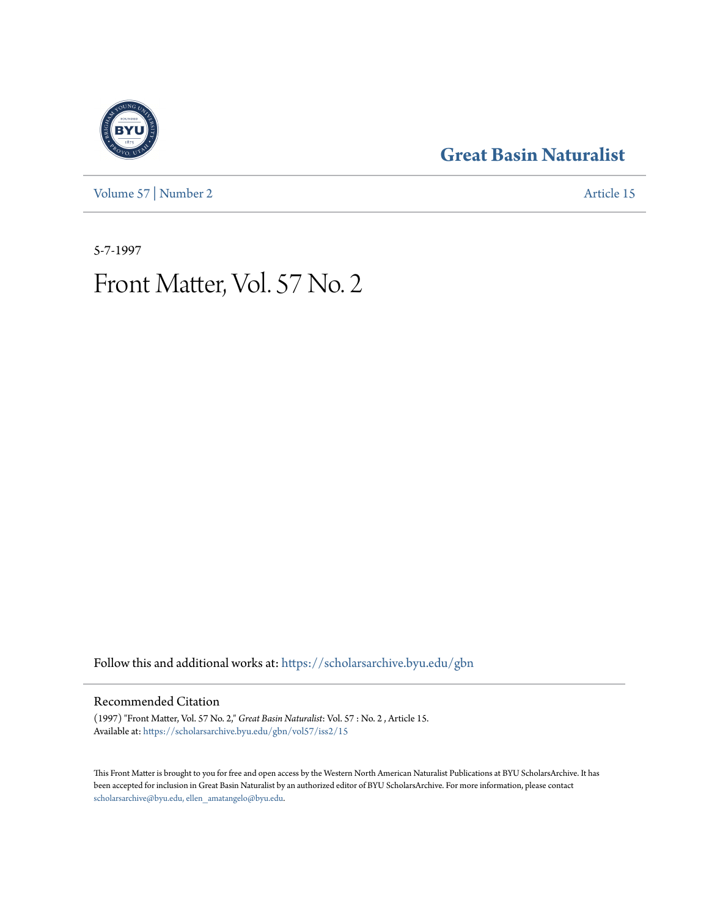**[Great Basin Naturalist](https://scholarsarchive.byu.edu/gbn?utm_source=scholarsarchive.byu.edu%2Fgbn%2Fvol57%2Fiss2%2F15&utm_medium=PDF&utm_campaign=PDFCoverPages)**

[Volume 57](https://scholarsarchive.byu.edu/gbn/vol57?utm_source=scholarsarchive.byu.edu%2Fgbn%2Fvol57%2Fiss2%2F15&utm_medium=PDF&utm_campaign=PDFCoverPages) | [Number 2](https://scholarsarchive.byu.edu/gbn/vol57/iss2?utm_source=scholarsarchive.byu.edu%2Fgbn%2Fvol57%2Fiss2%2F15&utm_medium=PDF&utm_campaign=PDFCoverPages) [Article 15](https://scholarsarchive.byu.edu/gbn/vol57/iss2/15?utm_source=scholarsarchive.byu.edu%2Fgbn%2Fvol57%2Fiss2%2F15&utm_medium=PDF&utm_campaign=PDFCoverPages)

5-7-1997

## Front Matter, Vol. 57 No. 2

Follow this and additional works at: [https://scholarsarchive.byu.edu/gbn](https://scholarsarchive.byu.edu/gbn?utm_source=scholarsarchive.byu.edu%2Fgbn%2Fvol57%2Fiss2%2F15&utm_medium=PDF&utm_campaign=PDFCoverPages)

### Recommended Citation

(1997) "Front Matter, Vol. 57 No. 2," *Great Basin Naturalist*: Vol. 57 : No. 2 , Article 15. Available at: [https://scholarsarchive.byu.edu/gbn/vol57/iss2/15](https://scholarsarchive.byu.edu/gbn/vol57/iss2/15?utm_source=scholarsarchive.byu.edu%2Fgbn%2Fvol57%2Fiss2%2F15&utm_medium=PDF&utm_campaign=PDFCoverPages)

This Front Matter is brought to you for free and open access by the Western North American Naturalist Publications at BYU ScholarsArchive. It has been accepted for inclusion in Great Basin Naturalist by an authorized editor of BYU ScholarsArchive. For more information, please contact [scholarsarchive@byu.edu, ellen\\_amatangelo@byu.edu.](mailto:scholarsarchive@byu.edu,%20ellen_amatangelo@byu.edu)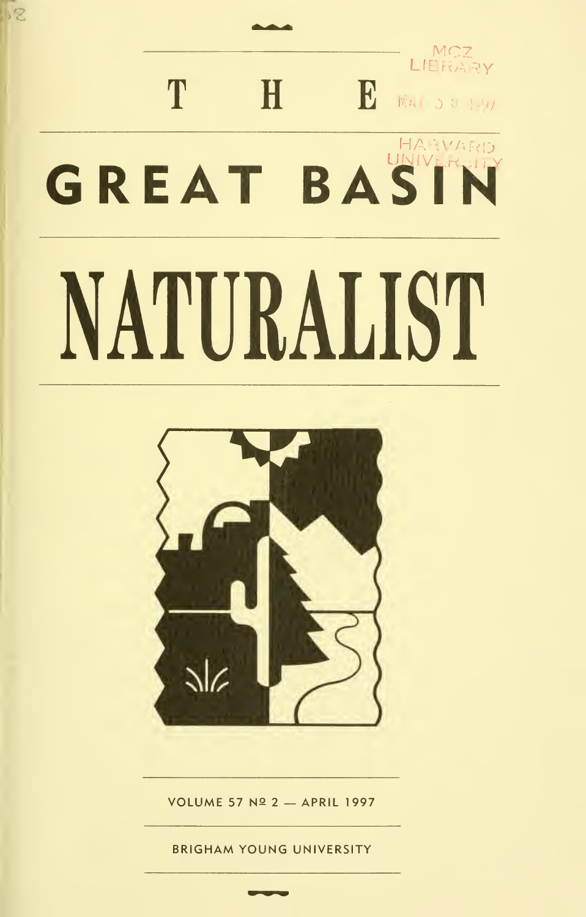# MCZ T H **B** KG 501-1 GREAT BASIN NATURALIST

12



**VOLUME 57 Nº 2 - APRIL 1997** 

**BRIGHAM YOUNG UNIVERSITY**